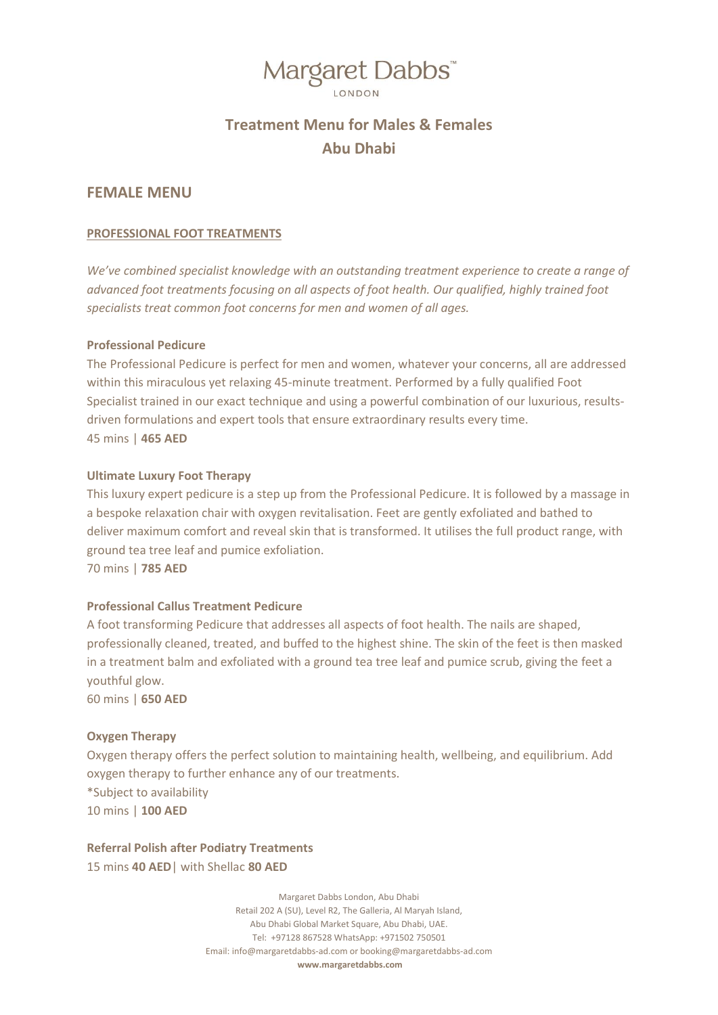### Margaret Dabbs"

### **Treatment Menu for Males & Females Abu Dhabi**

### **FEMALE MENU**

### **PROFESSIONAL FOOT TREATMENTS**

*We've combined specialist knowledge with an outstanding treatment experience to create a range of advanced foot treatments focusing on all aspects of foot health. Our qualified, highly trained foot specialists treat common foot concerns for men and women of all ages.* 

### **Professional Pedicure**

The Professional Pedicure is perfect for men and women, whatever your concerns, all are addressed within this miraculous yet relaxing 45-minute treatment. Performed by a fully qualified Foot Specialist trained in our exact technique and using a powerful combination of our luxurious, resultsdriven formulations and expert tools that ensure extraordinary results every time. 45 mins | **465 AED**

### **Ultimate Luxury Foot Therapy**

This luxury expert pedicure is a step up from the Professional Pedicure. It is followed by a massage in a bespoke relaxation chair with oxygen revitalisation. Feet are gently exfoliated and bathed to deliver maximum comfort and reveal skin that is transformed. It utilises the full product range, with ground tea tree leaf and pumice exfoliation. 70 mins | **785 AED**

### **Professional Callus Treatment Pedicure**

A foot transforming Pedicure that addresses all aspects of foot health. The nails are shaped, professionally cleaned, treated, and buffed to the highest shine. The skin of the feet is then masked in a treatment balm and exfoliated with a ground tea tree leaf and pumice scrub, giving the feet a youthful glow. 60 mins | **650 AED**

### **Oxygen Therapy**

Oxygen therapy offers the perfect solution to maintaining health, wellbeing, and equilibrium. Add oxygen therapy to further enhance any of our treatments. \*Subject to availability 10 mins | **100 AED**

### **Referral Polish after Podiatry Treatments**

15 mins **40 AED**| with Shellac **80 AED**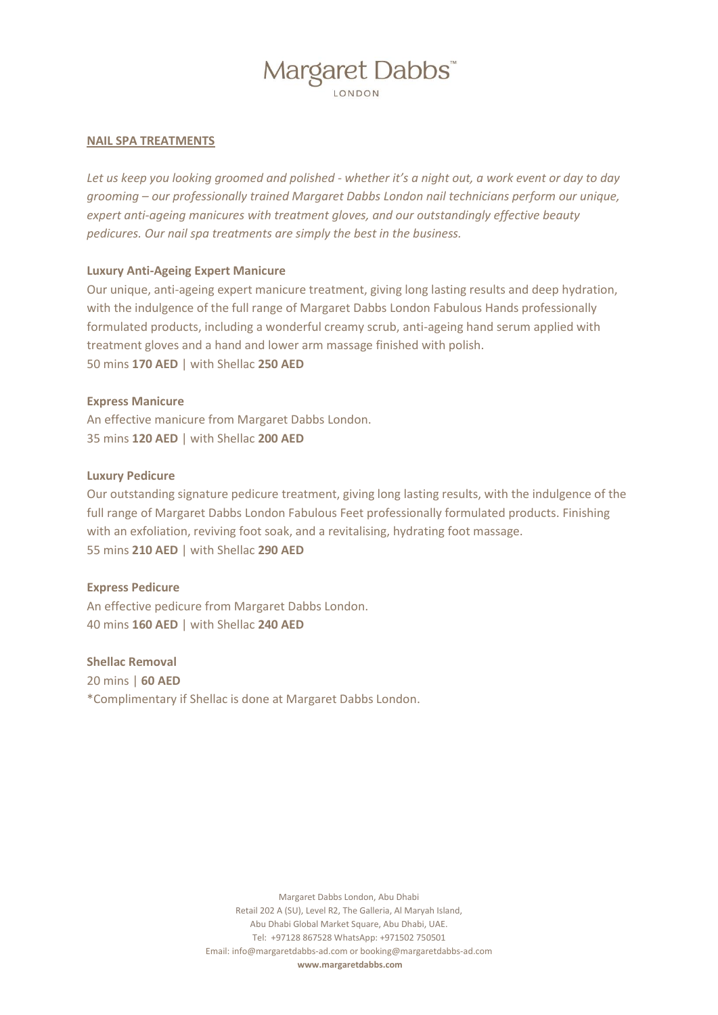## Margaret Dabbs"

### **NAIL SPA TREATMENTS**

*Let us keep you looking groomed and polished - whether it's a night out, a work event or day to day grooming – our professionally trained Margaret Dabbs London nail technicians perform our unique, expert anti-ageing manicures with treatment gloves, and our outstandingly effective beauty pedicures. Our nail spa treatments are simply the best in the business.*

### **Luxury Anti-Ageing Expert Manicure**

Our unique, anti-ageing expert manicure treatment, giving long lasting results and deep hydration, with the indulgence of the full range of Margaret Dabbs London Fabulous Hands professionally formulated products, including a wonderful creamy scrub, anti-ageing hand serum applied with treatment gloves and a hand and lower arm massage finished with polish. 50 mins **170 AED** | with Shellac **250 AED**

### **Express Manicure**

An effective manicure from Margaret Dabbs London. 35 mins **120 AED** | with Shellac **200 AED**

### **Luxury Pedicure**

Our outstanding signature pedicure treatment, giving long lasting results, with the indulgence of the full range of Margaret Dabbs London Fabulous Feet professionally formulated products. Finishing with an exfoliation, reviving foot soak, and a revitalising, hydrating foot massage. 55 mins **210 AED** | with Shellac **290 AED**

### **Express Pedicure**

An effective pedicure from Margaret Dabbs London. 40 mins **160 AED** | with Shellac **240 AED**

**Shellac Removal** 

20 mins | **60 AED** \*Complimentary if Shellac is done at Margaret Dabbs London.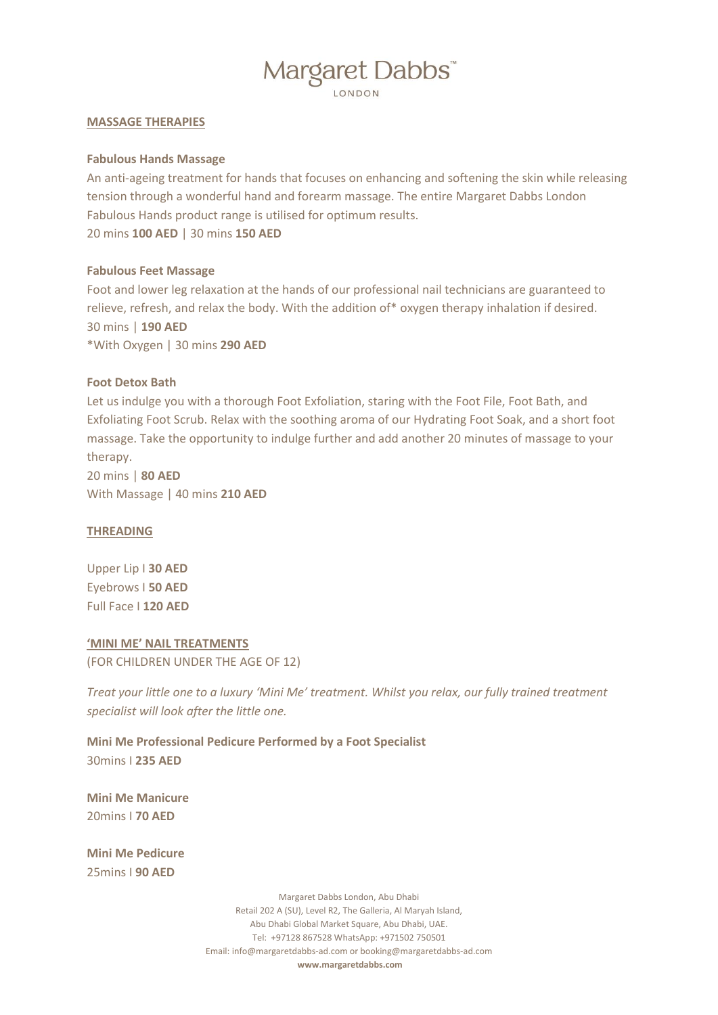## Margaret Dabbs"

### **MASSAGE THERAPIES**

### **Fabulous Hands Massage**

An anti-ageing treatment for hands that focuses on enhancing and softening the skin while releasing tension through a wonderful hand and forearm massage. The entire Margaret Dabbs London Fabulous Hands product range is utilised for optimum results. 20 mins **100 AED** | 30 mins **150 AED**

### **Fabulous Feet Massage**

Foot and lower leg relaxation at the hands of our professional nail technicians are guaranteed to relieve, refresh, and relax the body. With the addition of\* oxygen therapy inhalation if desired. 30 mins | **190 AED** \*With Oxygen | 30 mins **290 AED**

### **Foot Detox Bath**

Let us indulge you with a thorough Foot Exfoliation, staring with the Foot File, Foot Bath, and Exfoliating Foot Scrub. Relax with the soothing aroma of our Hydrating Foot Soak, and a short foot massage. Take the opportunity to indulge further and add another 20 minutes of massage to your therapy.

20 mins | **80 AED** With Massage | 40 mins **210 AED**

### **THREADING**

Upper Lip I **30 AED** Eyebrows I **50 AED** Full Face I **120 AED**

### **'MINI ME' NAIL TREATMENTS**

(FOR CHILDREN UNDER THE AGE OF 12)

*Treat your little one to a luxury 'Mini Me' treatment. Whilst you relax, our fully trained treatment specialist will look after the little one.* 

**Mini Me Professional Pedicure Performed by a Foot Specialist** 30mins I **235 AED**

**Mini Me Manicure** 20mins I **70 AED**

**Mini Me Pedicure** 25mins I **90 AED**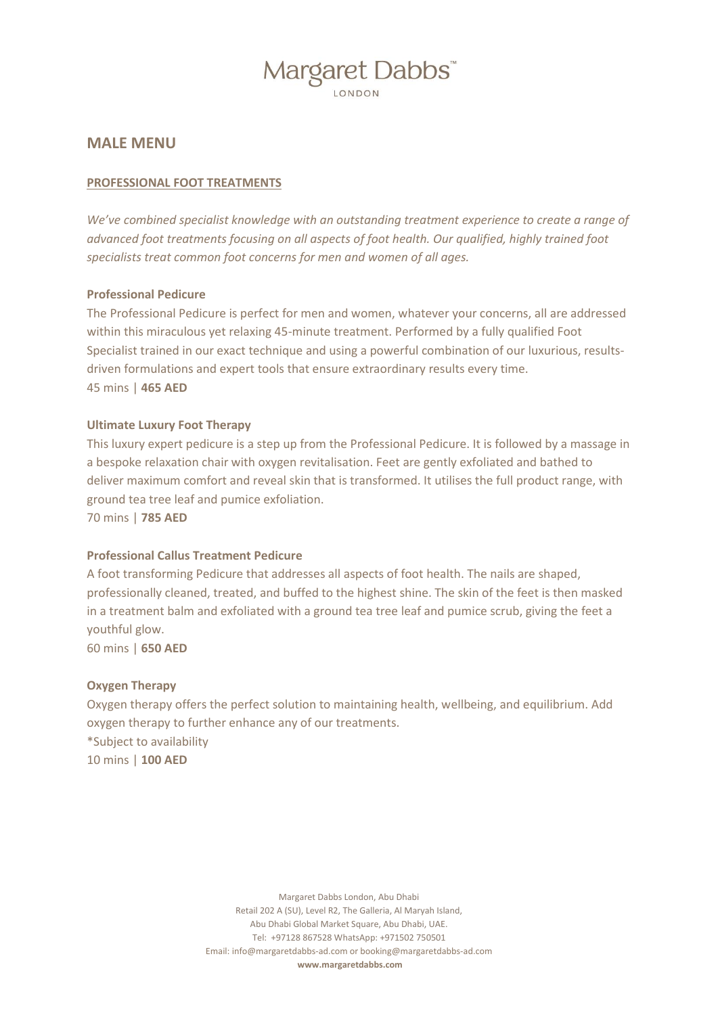# Margaret Dabbs

**MALE MENU**

### **PROFESSIONAL FOOT TREATMENTS**

*We've combined specialist knowledge with an outstanding treatment experience to create a range of advanced foot treatments focusing on all aspects of foot health. Our qualified, highly trained foot specialists treat common foot concerns for men and women of all ages.* 

### **Professional Pedicure**

The Professional Pedicure is perfect for men and women, whatever your concerns, all are addressed within this miraculous yet relaxing 45-minute treatment. Performed by a fully qualified Foot Specialist trained in our exact technique and using a powerful combination of our luxurious, resultsdriven formulations and expert tools that ensure extraordinary results every time. 45 mins | **465 AED**

### **Ultimate Luxury Foot Therapy**

This luxury expert pedicure is a step up from the Professional Pedicure. It is followed by a massage in a bespoke relaxation chair with oxygen revitalisation. Feet are gently exfoliated and bathed to deliver maximum comfort and reveal skin that is transformed. It utilises the full product range, with ground tea tree leaf and pumice exfoliation.

70 mins | **785 AED**

### **Professional Callus Treatment Pedicure**

A foot transforming Pedicure that addresses all aspects of foot health. The nails are shaped, professionally cleaned, treated, and buffed to the highest shine. The skin of the feet is then masked in a treatment balm and exfoliated with a ground tea tree leaf and pumice scrub, giving the feet a youthful glow.

60 mins | **650 AED**

### **Oxygen Therapy**

Oxygen therapy offers the perfect solution to maintaining health, wellbeing, and equilibrium. Add oxygen therapy to further enhance any of our treatments. \*Subject to availability 10 mins | **100 AED**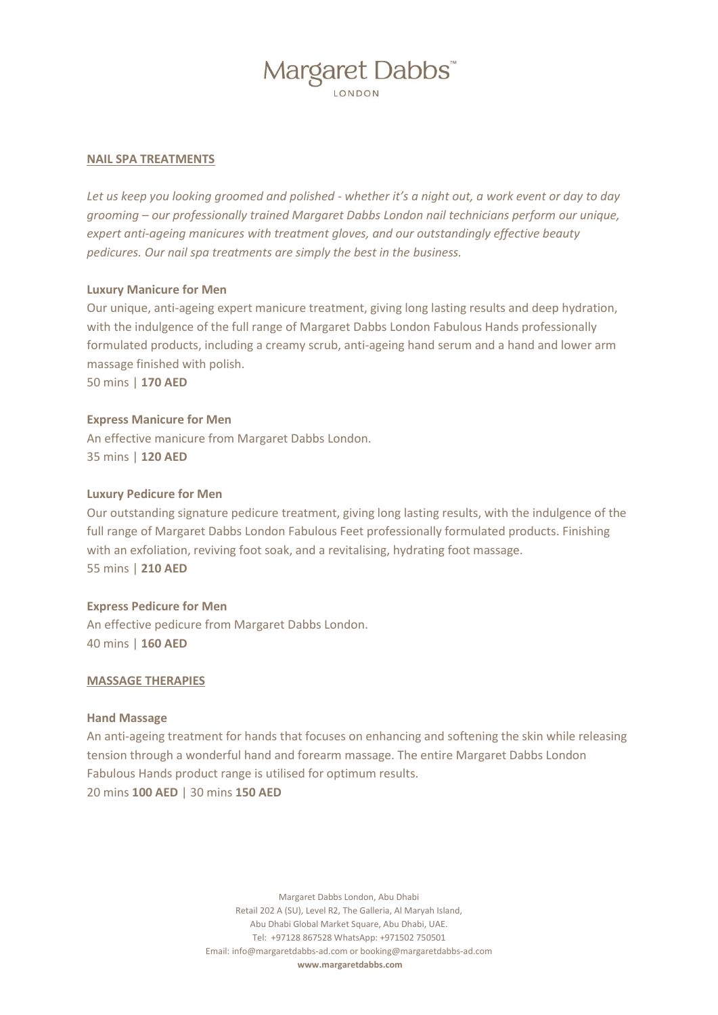# Margaret Dabbs

### **NAIL SPA TREATMENTS**

*Let us keep you looking groomed and polished - whether it's a night out, a work event or day to day grooming – our professionally trained Margaret Dabbs London nail technicians perform our unique, expert anti-ageing manicures with treatment gloves, and our outstandingly effective beauty pedicures. Our nail spa treatments are simply the best in the business.*

### **Luxury Manicure for Men**

Our unique, anti-ageing expert manicure treatment, giving long lasting results and deep hydration, with the indulgence of the full range of Margaret Dabbs London Fabulous Hands professionally formulated products, including a creamy scrub, anti-ageing hand serum and a hand and lower arm massage finished with polish. 50 mins | **170 AED**

### **Express Manicure for Men**

An effective manicure from Margaret Dabbs London. 35 mins | **120 AED**

### **Luxury Pedicure for Men**

Our outstanding signature pedicure treatment, giving long lasting results, with the indulgence of the full range of Margaret Dabbs London Fabulous Feet professionally formulated products. Finishing with an exfoliation, reviving foot soak, and a revitalising, hydrating foot massage. 55 mins | **210 AED**

### **Express Pedicure for Men**

An effective pedicure from Margaret Dabbs London. 40 mins | **160 AED**

### **MASSAGE THERAPIES**

### **Hand Massage**

An anti-ageing treatment for hands that focuses on enhancing and softening the skin while releasing tension through a wonderful hand and forearm massage. The entire Margaret Dabbs London Fabulous Hands product range is utilised for optimum results. 20 mins **100 AED** | 30 mins **150 AED**